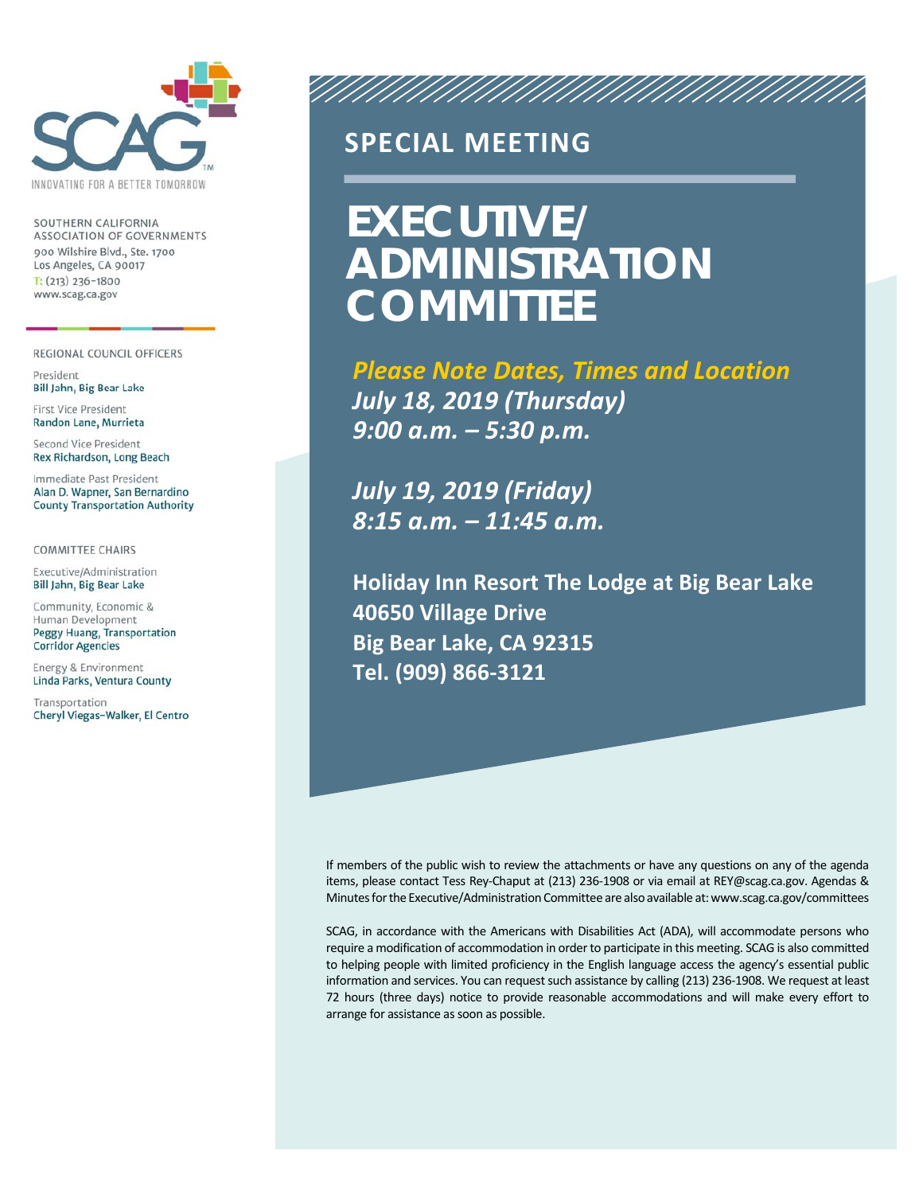

SOUTHERN CALIFORNIA ASSOCIATION OF GOVERNMENTS 900 Wilshire Blvd., Ste. 1700 Los Angeles, CA 90017  $T: (213)$  236-1800 www.scag.ca.gov

REGIONAL COUNCIL OFFICERS

President Bill Jahn, Big Bear Lake

First Vice President Randon Lane, Murrieta

Second Vice President Rex Richardson, Long Beach

Immediate Past President Alan D. Wapner, San Bernardino **County Transportation Authority** 

**COMMITTEE CHAIRS** 

Executive/Administration Bill Jahn, Big Bear Lake

Community, Economic & Human Development Peggy Huang, Transportation **Corridor Agencies** 

Energy & Environment Linda Parks, Ventura County

Transportation Cheryl Viegas-Walker, El Centro

## **SPECIAL MEETING**

# **EXECUTIVE/ ADMINISTRATION COMMITTEE**

*Please Note Dates, Times and Location July 18, 2019 (Thursday) 9:00 a.m. – 5:30 p.m.* 

ANNAN MANAMANAMAN

*July 19, 2019 (Friday) 8:15 a.m. – 11:45 a.m.* 

**Holiday Inn Resort The Lodge at Big Bear Lake 40650 Village Drive Big Bear Lake, CA 92315 Tel. (909) 866‐3121** 

If members of the public wish to review the attachments or have any questions on any of the agenda items, please contact Tess Rey‐Chaput at (213) 236‐1908 or via email at REY@scag.ca.gov. Agendas & Minutes for the Executive/Administration Committee are also available at: www.scag.ca.gov/committees

SCAG, in accordance with the Americans with Disabilities Act (ADA), will accommodate persons who require a modification of accommodation in order to participate in this meeting. SCAG is also committed to helping people with limited proficiency in the English language access the agency's essential public information and services. You can request such assistance by calling (213) 236‐1908. We request at least 72 hours (three days) notice to provide reasonable accommodations and will make every effort to arrange for assistance as soon as possible.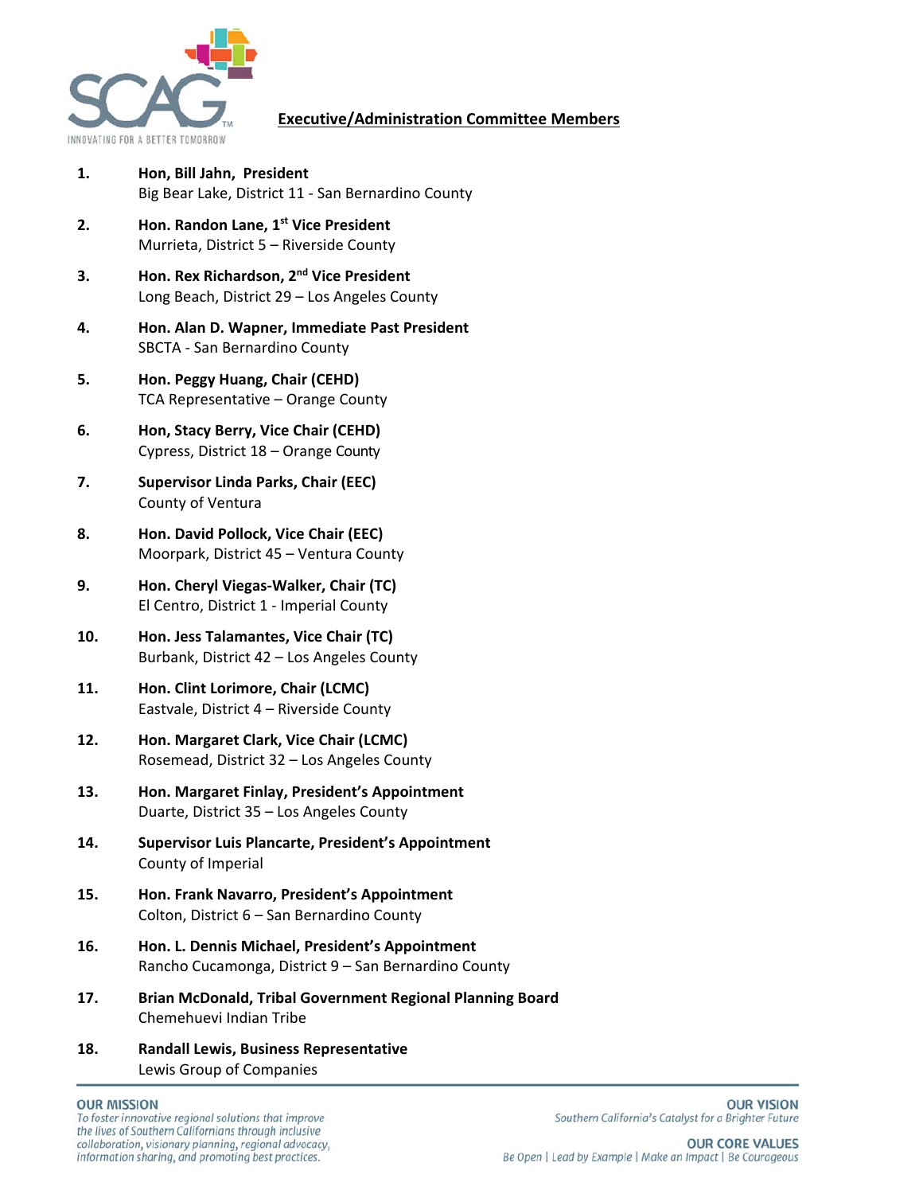

#### **Executive/Administration Committee Members**

- **1. Hon, Bill Jahn, President**  Big Bear Lake, District 11 ‐ San Bernardino County
- **2. Hon. Randon Lane, 1st Vice President** Murrieta, District 5 – Riverside County
- **3. Hon. Rex Richardson, 2nd Vice President**  Long Beach, District 29 – Los Angeles County
- **4. Hon. Alan D. Wapner, Immediate Past President**  SBCTA ‐ San Bernardino County
- **5. Hon. Peggy Huang, Chair (CEHD)**  TCA Representative – Orange County
- **6. Hon, Stacy Berry, Vice Chair (CEHD)**  Cypress, District 18 – Orange County
- **7. Supervisor Linda Parks, Chair (EEC)**  County of Ventura
- **8. Hon. David Pollock, Vice Chair (EEC)**  Moorpark, District 45 – Ventura County
- **9. Hon. Cheryl Viegas‐Walker, Chair (TC)**  El Centro, District 1 ‐ Imperial County
- **10. Hon. Jess Talamantes, Vice Chair (TC)**  Burbank, District 42 – Los Angeles County
- **11. Hon. Clint Lorimore, Chair (LCMC)**  Eastvale, District 4 – Riverside County
- **12. Hon. Margaret Clark, Vice Chair (LCMC)**  Rosemead, District 32 – Los Angeles County
- **13. Hon. Margaret Finlay, President's Appointment**  Duarte, District 35 – Los Angeles County
- **14. Supervisor Luis Plancarte, President's Appointment**  County of Imperial
- **15. Hon. Frank Navarro, President's Appointment**  Colton, District 6 – San Bernardino County
- **16. Hon. L. Dennis Michael, President's Appointment**  Rancho Cucamonga, District 9 – San Bernardino County
- **17. Brian McDonald, Tribal Government Regional Planning Board**  Chemehuevi Indian Tribe
- **18. Randall Lewis, Business Representative**  Lewis Group of Companies

#### **OUR MISSION**

To foster innovative regional solutions that improve the lives of Southern Californians through inclusive collaboration, visionary planning, regional advocacy, information sharing, and promoting best practices.

**OUR VISION** Southern California's Catalyst for a Brighter Future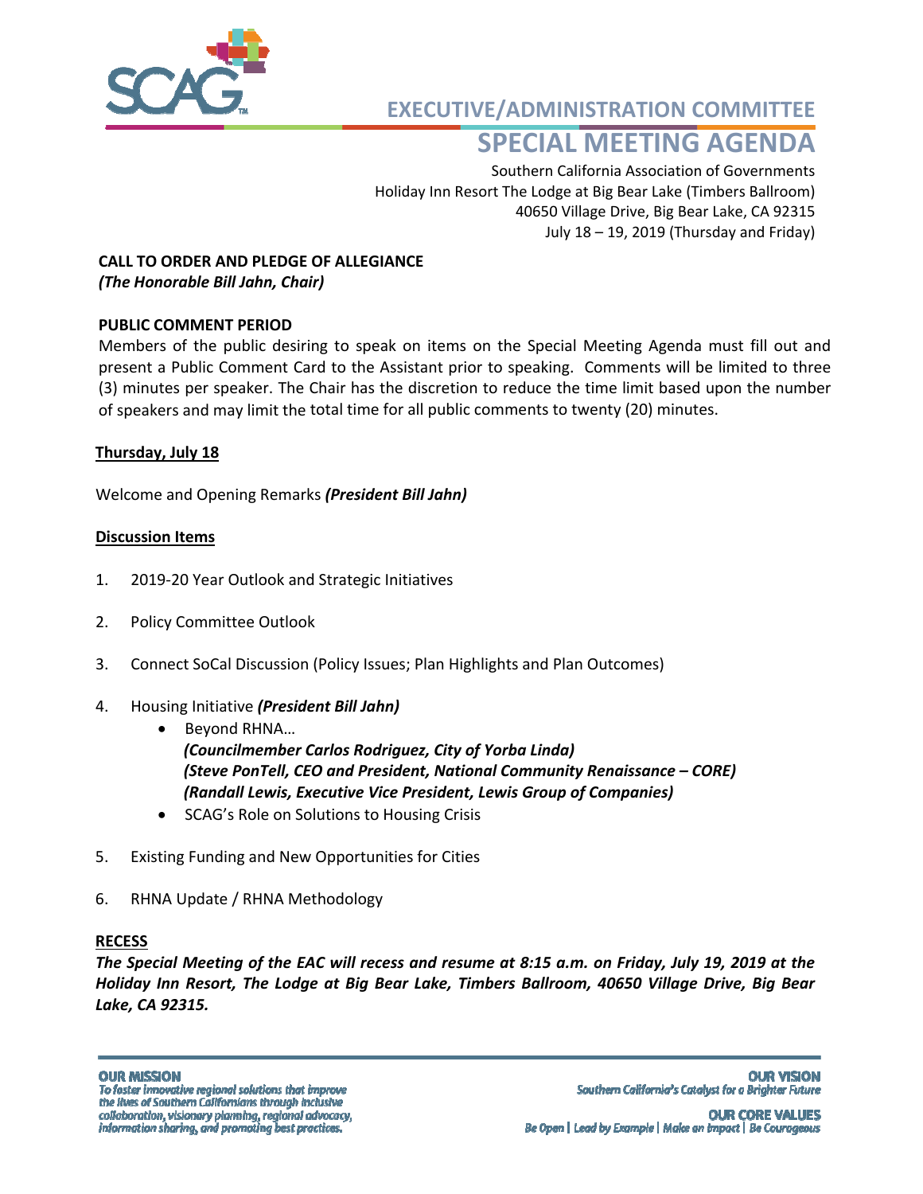

**EXECUTIVE/ADMINISTRATION COMMITTEE**

## **SPECIAL MEETING AGENDA**

Southern California Association of Governments Holiday Inn Resort The Lodge at Big Bear Lake (Timbers Ballroom) 40650 Village Drive, Big Bear Lake, CA 92315 July 18 – 19, 2019 (Thursday and Friday)

#### **CALL TO ORDER AND PLEDGE OF ALLEGIANCE** *(The Honorable Bill Jahn, Chair)*

### **PUBLIC COMMENT PERIOD**

Members of the public desiring to speak on items on the Special Meeting Agenda must fill out and present a Public Comment Card to the Assistant prior to speaking. Comments will be limited to three (3) minutes per speaker. The Chair has the discretion to reduce the time limit based upon the number of speakers and may limit the total time for all public comments to twenty (20) minutes.

#### **Thursday, July 18**

Welcome and Opening Remarks *(President Bill Jahn)*

#### **Discussion Items**

- 1. 2019‐20 Year Outlook and Strategic Initiatives
- 2. Policy Committee Outlook
- 3. Connect SoCal Discussion (Policy Issues; Plan Highlights and Plan Outcomes)
- 4. Housing Initiative *(President Bill Jahn)*
	- Beyond RHNA...

*(Councilmember Carlos Rodriguez, City of Yorba Linda) (Steve PonTell, CEO and President, National Community Renaissance – CORE) (Randall Lewis, Executive Vice President, Lewis Group of Companies)* 

- SCAG's Role on Solutions to Housing Crisis
- 5. Existing Funding and New Opportunities for Cities
- 6. RHNA Update / RHNA Methodology

#### **RECESS**

*The Special Meeting of the EAC will recess and resume at 8:15 a.m. on Friday, July 19, 2019 at the Holiday Inn Resort, The Lodge at Big Bear Lake, Timbers Ballroom, 40650 Village Drive, Big Bear Lake, CA 92315.*